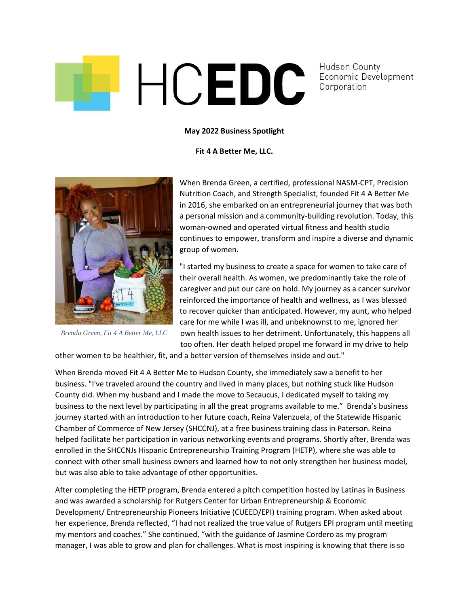

**Hudson County** Economic Development Corporation

## **May 2022 Business Spotlight**

## **Fit 4 A Better Me, LLC.**



*Brenda Green, Fit 4 A Better Me, LLC*

When Brenda Green, a certified, professional NASM-CPT, Precision Nutrition Coach, and Strength Specialist, founded Fit 4 A Better Me in 2016, she embarked on an entrepreneurial journey that was both a personal mission and a community-building revolution. Today, this woman-owned and operated virtual fitness and health studio continues to empower, transform and inspire a diverse and dynamic group of women.

"I started my business to create a space for women to take care of their overall health. As women, we predominantly take the role of caregiver and put our care on hold. My journey as a cancer survivor reinforced the importance of health and wellness, as I was blessed to recover quicker than anticipated. However, my aunt, who helped care for me while I was ill, and unbeknownst to me, ignored her own health issues to her detriment. Unfortunately, this happens all too often. Her death helped propel me forward in my drive to help

other women to be healthier, fit, and a better version of themselves inside and out."

When Brenda moved Fit 4 A Better Me to Hudson County, she immediately saw a benefit to her business. "I've traveled around the country and lived in many places, but nothing stuck like Hudson County did. When my husband and I made the move to Secaucus, I dedicated myself to taking my business to the next level by participating in all the great programs available to me." Brenda's business journey started with an introduction to her future coach, Reina Valenzuela, of the Statewide Hispanic Chamber of Commerce of New Jersey (SHCCNJ), at a free business training class in Paterson. Reina helped facilitate her participation in various networking events and programs. Shortly after, Brenda was enrolled in the SHCCNJs Hispanic Entrepreneurship Training Program (HETP), where she was able to connect with other small business owners and learned how to not only strengthen her business model, but was also able to take advantage of other opportunities.

After completing the HETP program, Brenda entered a pitch competition hosted by Latinas in Business and was awarded a scholarship for Rutgers Center for Urban Entrepreneurship & Economic Development/ Entrepreneurship Pioneers Initiative (CUEED/EPI) training program. When asked about her experience, Brenda reflected, "I had not realized the true value of Rutgers EPI program until meeting my mentors and coaches." She continued, "with the guidance of Jasmine Cordero as my program manager, I was able to grow and plan for challenges. What is most inspiring is knowing that there is so